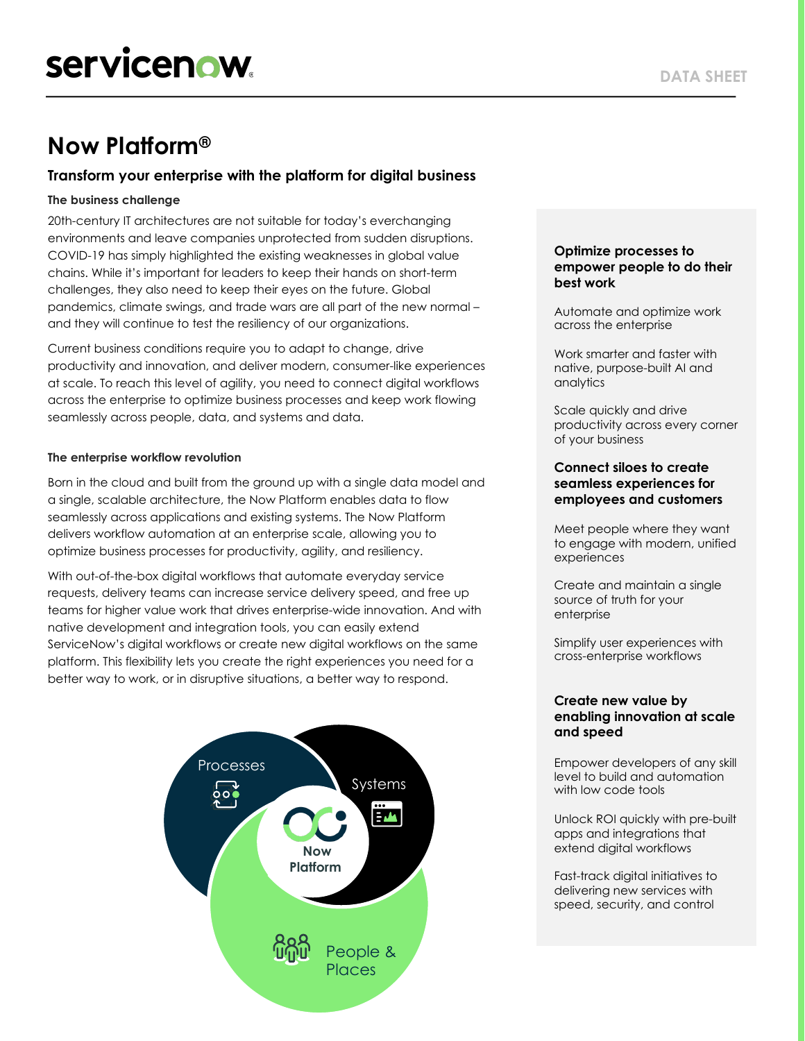# **Now Platform®**

#### **Transform your enterprise with the platform for digital business**

#### **The business challenge**

20th-century IT architectures are not suitable for today's everchanging environments and leave companies unprotected from sudden disruptions. COVID-19 has simply highlighted the existing weaknesses in global value chains. While it's important for leaders to keep their hands on short-term challenges, they also need to keep their eyes on the future. Global pandemics, climate swings, and trade wars are all part of the new normal – and they will continue to test the resiliency of our organizations.

Current business conditions require you to adapt to change, drive productivity and innovation, and deliver modern, consumer-like experiences at scale. To reach this level of agility, you need to connect digital workflows across the enterprise to optimize business processes and keep work flowing seamlessly across people, data, and systems and data.

#### **The enterprise workflow revolution**

Born in the cloud and built from the ground up with a single data model and a single, scalable architecture, the Now Platform enables data to flow seamlessly across applications and existing systems. The Now Platform delivers workflow automation at an enterprise scale, allowing you to optimize business processes for productivity, agility, and resiliency.

With out-of-the-box digital workflows that automate everyday service requests, delivery teams can increase service delivery speed, and free up teams for higher value work that drives enterprise-wide innovation. And with native development and integration tools, you can easily extend ServiceNow's digital workflows or create new digital workflows on the same platform. This flexibility lets you create the right experiences you need for a better way to work, or in disruptive situations, a better way to respond.



#### **Optimize processes to empower people to do their best work**

Automate and optimize work across the enterprise

Work smarter and faster with native, purpose-built AI and analytics

Scale quickly and drive productivity across every corner of your business

#### **Connect siloes to create seamless experiences for employees and customers**

Meet people where they want to engage with modern, unified experiences

Create and maintain a single source of truth for your enterprise

Simplify user experiences with cross-enterprise workflows

#### **Create new value by enabling innovation at scale and speed**

Empower developers of any skill level to build and automation with low code tools

Unlock ROI quickly with pre-built apps and integrations that extend digital workflows

Fast-track digital initiatives to delivering new services with speed, security, and control